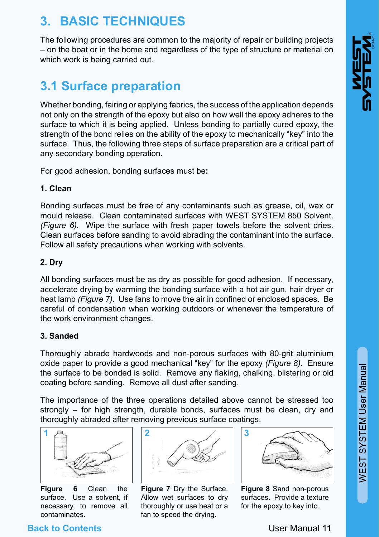# WEST SYSTEM User Manual WEST SYSTEM User Manual

# **3. BASIC TECHNIQUES**

The following procedures are common to the majority of repair or building projects – on the boat or in the home and regardless of the type of structure or material on which work is being carried out.

# **3.1 Surface preparation**

Whether bonding, fairing or applying fabrics, the success of the application depends not only on the strength of the epoxy but also on how well the epoxy adheres to the surface to which it is being applied. Unless bonding to partially cured epoxy, the strength of the bond relies on the ability of the epoxy to mechanically "key" into the surface. Thus, the following three steps of surface preparation are a critical part of any secondary bonding operation.

For good adhesion, bonding surfaces must be**:**

#### **1. Clean**

Bonding surfaces must be free of any contaminants such as grease, oil, wax or mould release. Clean contaminated surfaces with WEST SYSTEM 850 Solvent. *(Figure 6).* Wipe the surface with fresh paper towels before the solvent dries. Clean surfaces before sanding to avoid abrading the contaminant into the surface. Follow all safety precautions when working with solvents.

#### **2. Dry**

All bonding surfaces must be as dry as possible for good adhesion. If necessary, accelerate drying by warming the bonding surface with a hot air gun, hair dryer or heat lamp *(Figure 7)*. Use fans to move the air in confined or enclosed spaces. Be careful of condensation when working outdoors or whenever the temperature of the work environment changes.

#### **3. Sanded**

Thoroughly abrade hardwoods and non-porous surfaces with 80-grit aluminium oxide paper to provide a good mechanical "key" for the epoxy *(Figure 8)*. Ensure the surface to be bonded is solid. Remove any flaking, chalking, blistering or old coating before sanding. Remove all dust after sanding.

The importance of the three operations detailed above cannot be stressed too strongly – for high strength, durable bonds, surfaces must be clean, dry and thoroughly abraded after removing previous surface coatings.



surface. Use a solvent, if necessary, to remove all contaminates.



**Figure 7** Dry the Surface. Allow wet surfaces to dry thoroughly or use heat or a fan to speed the drying.



**Figure 8** Sand non-porous surfaces. Provide a texture for the epoxy to key into.

## **Back to Contents**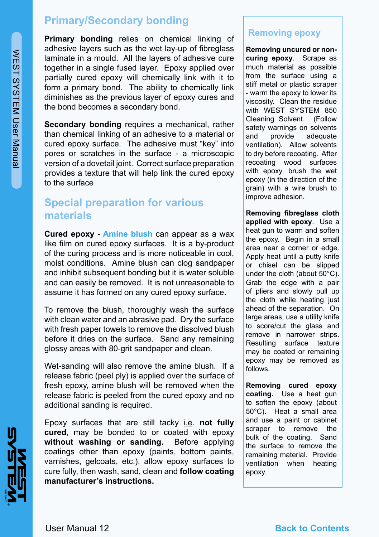## **Primary/Secondary bonding**

**Primary bonding** relies on chemical linking of adhesive layers such as the wet lay-up of fibreglass laminate in a mould. All the layers of adhesive cure together in a single fused layer. Epoxy applied over partially cured epoxy will chemically link with it to form a primary bond. The ability to chemically link diminishes as the previous layer of epoxy cures and the bond becomes a secondary bond.

**Secondary bonding** requires a mechanical, rather than chemical linking of an adhesive to a material or cured epoxy surface. The adhesive must "key" into pores or scratches in the surface - a microscopic version of a dovetail joint. Correct surface preparation provides a texture that will help link the cured epoxy to the surface

## **Special preparation for various materials**

**Cured epoxy - Amine blush** can appear as a wax like film on cured epoxy surfaces. It is a by-product of the curing process and is more noticeable in cool, moist conditions. Amine blush can clog sandpaper and inhibit subsequent bonding but it is water soluble and can easily be removed. It is not unreasonable to assume it has formed on any cured epoxy surface.

To remove the blush, thoroughly wash the surface with clean water and an abrasive pad. Dry the surface with fresh paper towels to remove the dissolved blush before it dries on the surface. Sand any remaining glossy areas with 80-grit sandpaper and clean.

Wet-sanding will also remove the amine blush. If a release fabric (peel ply) is applied over the surface of fresh epoxy, amine blush will be removed when the release fabric is peeled from the cured epoxy and no additional sanding is required.

Epoxy surfaces that are still tacky i.e. **not fully cured**, may be bonded to or coated with epoxy **without washing or sanding.** Before applying coatings other than epoxy (paints, bottom paints, varnishes, gelcoats, etc.), allow epoxy surfaces to cure fully, then wash, sand, clean and **follow coating manufacturer's instructions.**

#### **Removing epoxy**

**Removing uncured or noncuring epoxy**. Scrape as much material as possible from the surface using a stiff metal or plastic scraper - warm the epoxy to lower its viscosity. Clean the residue with WEST SYSTEM 850 Cleaning Solvent. (Follow safety warnings on solvents and provide adequate ventilation). Allow solvents to dry before recoating. After recoating wood surfaces with epoxy, brush the wet epoxy (in the direction of the grain) with a wire brush to improve adhesion.

**Removing fibreglass cloth applied with epoxy**. Use a heat gun to warm and soften the epoxy. Begin in a small area near a corner or edge. Apply heat until a putty knife or chisel can be slipped under the cloth (about 50°C). Grab the edge with a pair of pliers and slowly pull up the cloth while heating just ahead of the separation. On large areas, use a utility knife to score/cut the glass and remove in narrower strips. Resulting surface texture may be coated or remaining epoxy may be removed as follows.

**Removing cured epoxy coating.** Use a heat gun to soften the epoxy (about 50°C). Heat a small area and use a paint or cabinet scraper to remove the bulk of the coating. Sand the surface to remove the remaining material. Provide ventilation when heating epoxy.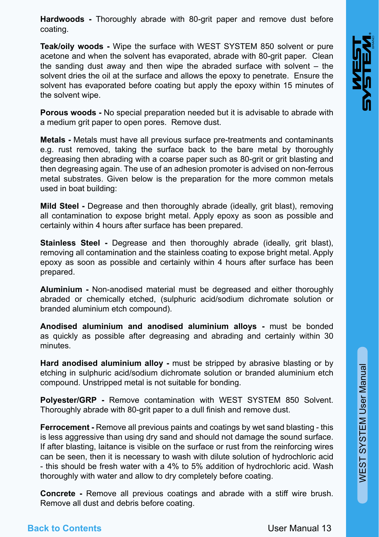**Hardwoods -** Thoroughly abrade with 80-grit paper and remove dust before coating.

**Teak/oily woods -** Wipe the surface with WEST SYSTEM 850 solvent or pure acetone and when the solvent has evaporated, abrade with 80-grit paper. Clean the sanding dust away and then wipe the abraded surface with solvent – the solvent dries the oil at the surface and allows the epoxy to penetrate. Ensure the solvent has evaporated before coating but apply the epoxy within 15 minutes of the solvent wipe.

**Porous woods -** No special preparation needed but it is advisable to abrade with a medium grit paper to open pores. Remove dust.

**Metals -** Metals must have all previous surface pre-treatments and contaminants e.g. rust removed, taking the surface back to the bare metal by thoroughly degreasing then abrading with a coarse paper such as 80-grit or grit blasting and then degreasing again. The use of an adhesion promoter is advised on non-ferrous metal substrates. Given below is the preparation for the more common metals used in boat building:

**Mild Steel -** Degrease and then thoroughly abrade (ideally, grit blast), removing all contamination to expose bright metal. Apply epoxy as soon as possible and certainly within 4 hours after surface has been prepared.

**Stainless Steel -** Degrease and then thoroughly abrade (ideally, grit blast), removing all contamination and the stainless coating to expose bright metal. Apply epoxy as soon as possible and certainly within 4 hours after surface has been prepared.

**Aluminium -** Non-anodised material must be degreased and either thoroughly abraded or chemically etched, (sulphuric acid/sodium dichromate solution or branded aluminium etch compound).

**Anodised aluminium and anodised aluminium alloys -** must be bonded as quickly as possible after degreasing and abrading and certainly within 30 minutes.

**Hard anodised aluminium alloy -** must be stripped by abrasive blasting or by etching in sulphuric acid/sodium dichromate solution or branded aluminium etch compound. Unstripped metal is not suitable for bonding.

**Polyester/GRP -** Remove contamination with WEST SYSTEM 850 Solvent. Thoroughly abrade with 80-grit paper to a dull finish and remove dust.

**Ferrocement - Remove all previous paints and coatings by wet sand blasting - this** is less aggressive than using dry sand and should not damage the sound surface. If after blasting, laitance is visible on the surface or rust from the reinforcing wires can be seen, then it is necessary to wash with dilute solution of hydrochloric acid - this should be fresh water with a 4% to 5% addition of hydrochloric acid. Wash thoroughly with water and allow to dry completely before coating.

**Concrete -** Remove all previous coatings and abrade with a stiff wire brush. Remove all dust and debris before coating.

#### **Back to Contents**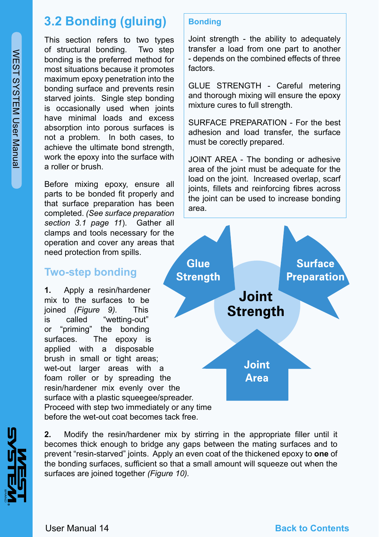# **3.2 Bonding (gluing)**

This section refers to two types of structural bonding. Two step bonding is the preferred method for most situations because it promotes maximum epoxy penetration into the bonding surface and prevents resin starved joints. Single step bonding is occasionally used when joints have minimal loads and excess absorption into porous surfaces is not a problem. In both cases, to achieve the ultimate bond strength, work the epoxy into the surface with a roller or brush.

Before mixing epoxy, ensure all parts to be bonded fit properly and that surface preparation has been completed. *(See surface preparation section 3.1 page 11*). Gather all clamps and tools necessary for the operation and cover any areas that need protection from spills.

## **Two-step bonding**

**1.** Apply a resin/hardener mix to the surfaces to be joined *(Figure 9).* This is called "wetting-out" or "priming" the bonding surfaces. The epoxy is applied with a disposable brush in small or tight areas: wet-out larger areas with a foam roller or by spreading the resin/hardener mix evenly over the surface with a plastic squeegee/spreader. Proceed with step two immediately or any time before the wet-out coat becomes tack free.

#### **Bonding**

Joint strength - the ability to adequately transfer a load from one part to another - depends on the combined effects of three factors.

GLUE STRENGTH - Careful metering and thorough mixing will ensure the epoxy mixture cures to full strength.

SURFACE PREPARATION - For the best adhesion and load transfer, the surface must be corectly prepared.

JOINT AREA - The bonding or adhesive area of the joint must be adequate for the load on the joint. Increased overlap, scarf joints, fillets and reinforcing fibres across the joint can be used to increase bonding area.



**2.** Modify the resin/hardener mix by stirring in the appropriate filler until it becomes thick enough to bridge any gaps between the mating surfaces and to prevent "resin-starved" joints. Apply an even coat of the thickened epoxy to **one** of the bonding surfaces, sufficient so that a small amount will squeeze out when the surfaces are joined together *(Figure 10).*

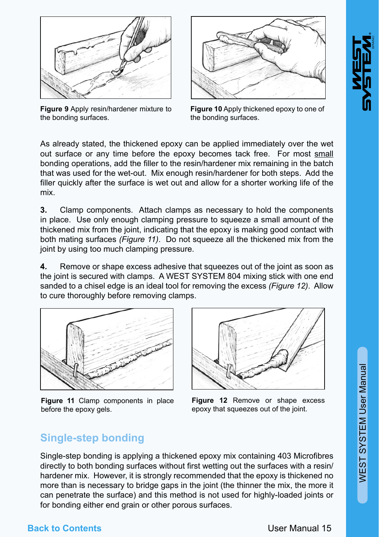WEST SYSTEM User Manual

WEST SYSTEM User Manual



**Figure 9** Apply resin/hardener mixture to the bonding surfaces.



**Figure 10** Apply thickened epoxy to one of the bonding surfaces.

As already stated, the thickened epoxy can be applied immediately over the wet out surface or any time before the epoxy becomes tack free. For most small bonding operations, add the filler to the resin/hardener mix remaining in the batch that was used for the wet-out. Mix enough resin/hardener for both steps. Add the filler quickly after the surface is wet out and allow for a shorter working life of the mix.

**3.** Clamp components. Attach clamps as necessary to hold the components in place. Use only enough clamping pressure to squeeze a small amount of the thickened mix from the joint, indicating that the epoxy is making good contact with both mating surfaces *(Figure 11)*. Do not squeeze all the thickened mix from the joint by using too much clamping pressure.

**4.** Remove or shape excess adhesive that squeezes out of the joint as soon as the joint is secured with clamps. A WEST SYSTEM 804 mixing stick with one end sanded to a chisel edge is an ideal tool for removing the excess *(Figure 12)*. Allow to cure thoroughly before removing clamps.



**Figure 11** Clamp components in place before the epoxy gels.



**Figure 12** Remove or shape excess epoxy that squeezes out of the joint.

## **Single-step bonding**

Single-step bonding is applying a thickened epoxy mix containing 403 Microfibres directly to both bonding surfaces without first wetting out the surfaces with a resin/ hardener mix. However, it is strongly recommended that the epoxy is thickened no more than is necessary to bridge gaps in the joint (the thinner the mix, the more it can penetrate the surface) and this method is not used for highly-loaded joints or for bonding either end grain or other porous surfaces.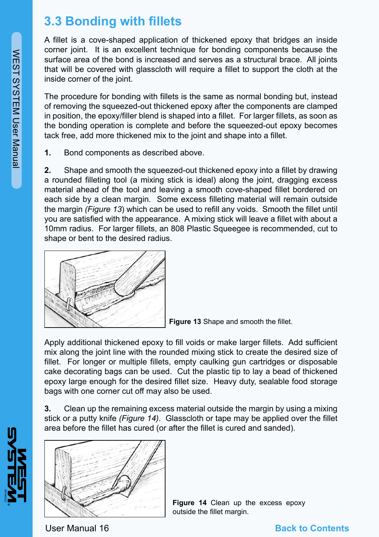# **3.3 Bonding with fillets**

A fillet is a cove-shaped application of thickened epoxy that bridges an inside corner joint. It is an excellent technique for bonding components because the surface area of the bond is increased and serves as a structural brace. All joints that will be covered with glasscloth will require a fillet to support the cloth at the inside corner of the joint.

The procedure for bonding with fillets is the same as normal bonding but, instead of removing the squeezed-out thickened epoxy after the components are clamped in position, the epoxy/filler blend is shaped into a fillet. For larger fillets, as soon as the bonding operation is complete and before the squeezed-out epoxy becomes tack free, add more thickened mix to the joint and shape into a fillet.

**1.** Bond components as described above.

**2.** Shape and smooth the squeezed-out thickened epoxy into a fillet by drawing a rounded filleting tool (a mixing stick is ideal) along the joint, dragging excess material ahead of the tool and leaving a smooth cove-shaped fillet bordered on each side by a clean margin. Some excess filleting material will remain outside the margin *(Figure 13*) which can be used to refill any voids. Smooth the fillet until you are satisfied with the appearance. A mixing stick will leave a fillet with about a 10mm radius. For larger fillets, an 808 Plastic Squeegee is recommended, cut to shape or bent to the desired radius.



**Figure 13** Shape and smooth the fillet.

Apply additional thickened epoxy to fill voids or make larger fillets. Add sufficient mix along the joint line with the rounded mixing stick to create the desired size of fillet. For longer or multiple fillets, empty caulking gun cartridges or disposable cake decorating bags can be used. Cut the plastic tip to lay a bead of thickened epoxy large enough for the desired fillet size. Heavy duty, sealable food storage bags with one corner cut off may also be used.

**3.** Clean up the remaining excess material outside the margin by using a mixing stick or a putty knife *(Figure 14)*. Glasscloth or tape may be applied over the fillet area before the fillet has cured (or after the fillet is cured and sanded).



**Figure 14** Clean up the excess epoxy outside the fillet margin.

WEST SYSTEM User Manual

**WEST SYSTEM User Manual** 

User Manual 16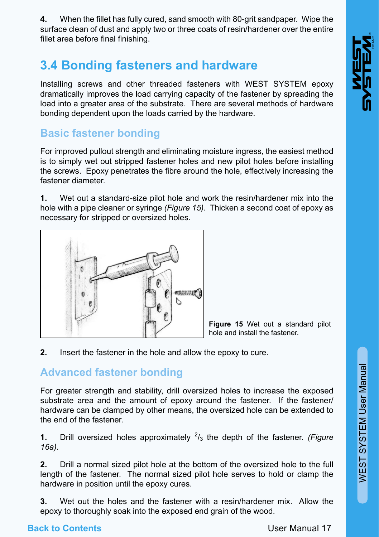**4.** When the fillet has fully cured, sand smooth with 80-grit sandpaper. Wipe the surface clean of dust and apply two or three coats of resin/hardener over the entire fillet area before final finishing.

# **3.4 Bonding fasteners and hardware**

Installing screws and other threaded fasteners with WEST SYSTEM epoxy dramatically improves the load carrying capacity of the fastener by spreading the load into a greater area of the substrate. There are several methods of hardware bonding dependent upon the loads carried by the hardware.

## **Basic fastener bonding**

For improved pullout strength and eliminating moisture ingress, the easiest method is to simply wet out stripped fastener holes and new pilot holes before installing the screws. Epoxy penetrates the fibre around the hole, effectively increasing the fastener diameter.

**1.** Wet out a standard-size pilot hole and work the resin/hardener mix into the hole with a pipe cleaner or syringe *(Figure 15)*. Thicken a second coat of epoxy as necessary for stripped or oversized holes.



**Figure 15** Wet out a standard pilot hole and install the fastener.

**2.** Insert the fastener in the hole and allow the epoxy to cure.

## **Advanced fastener bonding**

For greater strength and stability, drill oversized holes to increase the exposed substrate area and the amount of epoxy around the fastener. If the fastener/ hardware can be clamped by other means, the oversized hole can be extended to the end of the fastener.

**1.** Drill oversized holes approximately  $\frac{2}{3}$  the depth of the fastener. *(Figure 16a)*.

**2.** Drill a normal sized pilot hole at the bottom of the oversized hole to the full length of the fastener. The normal sized pilot hole serves to hold or clamp the hardware in position until the epoxy cures.

**3.** Wet out the holes and the fastener with a resin/hardener mix. Allow the epoxy to thoroughly soak into the exposed end grain of the wood.

## **Back to Contents**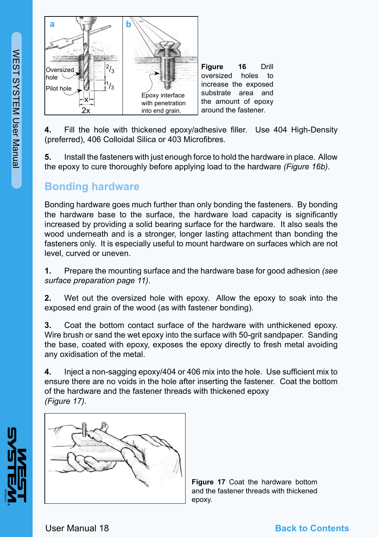

**4.** Fill the hole with thickened epoxy/adhesive filler. Use 404 High-Density (preferred), 406 Colloidal Silica or 403 Microfibres.

**5.** Install the fasteners with just enough force to hold the hardware in place. Allow the epoxy to cure thoroughly before applying load to the hardware *(Figure 16b)*.

## **Bonding hardware**

Bonding hardware goes much further than only bonding the fasteners. By bonding the hardware base to the surface, the hardware load capacity is significantly increased by providing a solid bearing surface for the hardware. It also seals the wood underneath and is a stronger, longer lasting attachment than bonding the fasteners only. It is especially useful to mount hardware on surfaces which are not level, curved or uneven.

**1.** Prepare the mounting surface and the hardware base for good adhesion *(see surface preparation page 11)*.

**2.** Wet out the oversized hole with epoxy. Allow the epoxy to soak into the exposed end grain of the wood (as with fastener bonding).

**3.** Coat the bottom contact surface of the hardware with unthickened epoxy. Wire brush or sand the wet epoxy into the surface with 50-grit sandpaper. Sanding the base, coated with epoxy, exposes the epoxy directly to fresh metal avoiding any oxidisation of the metal.

**4.** Inject a non-sagging epoxy/404 or 406 mix into the hole. Use sufficient mix to ensure there are no voids in the hole after inserting the fastener. Coat the bottom of the hardware and the fastener threads with thickened epoxy *(Figure 17)*.



**Figure 17** Coat the hardware bottom and the fastener threads with thickened epoxy.

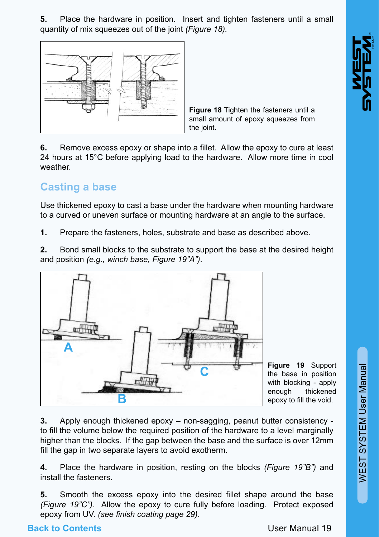**5.** Place the hardware in position. Insert and tighten fasteners until a small quantity of mix squeezes out of the joint *(Figure 18).*



**Figure 18** Tighten the fasteners until a small amount of epoxy squeezes from the joint.

**6.** Remove excess epoxy or shape into a fillet. Allow the epoxy to cure at least 24 hours at 15°C before applying load to the hardware. Allow more time in cool weather.

## **Casting a base**

Use thickened epoxy to cast a base under the hardware when mounting hardware to a curved or uneven surface or mounting hardware at an angle to the surface.

**1.** Prepare the fasteners, holes, substrate and base as described above.

**2.** Bond small blocks to the substrate to support the base at the desired height and position *(e.g., winch base, Figure 19"A")*.



**C Figure 19** Support the base in position with blocking - apply enough thickened epoxy to fill the void.

WEST SYSTEM User Manual

WEST SYSTEM User Manual

**3.** Apply enough thickened epoxy – non-sagging, peanut butter consistency to fill the volume below the required position of the hardware to a level marginally higher than the blocks. If the gap between the base and the surface is over 12mm fill the gap in two separate layers to avoid exotherm.

**4.** Place the hardware in position, resting on the blocks *(Figure 19"B")* and install the fasteners.

**5.** Smooth the excess epoxy into the desired fillet shape around the base *(Figure 19"C")*. Allow the epoxy to cure fully before loading. Protect exposed epoxy from UV. *(see finish coating page 29)*.

## **Back to Contents**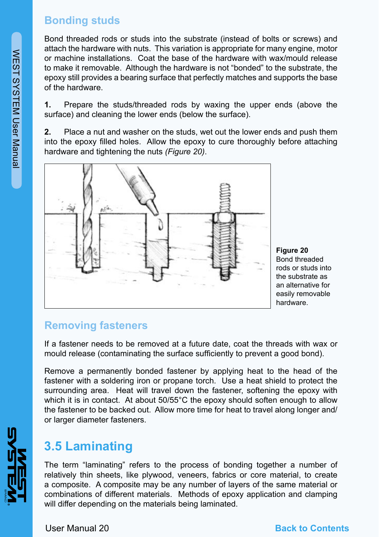## **Bonding studs**

Bond threaded rods or studs into the substrate (instead of bolts or screws) and attach the hardware with nuts. This variation is appropriate for many engine, motor or machine installations. Coat the base of the hardware with wax/mould release to make it removable. Although the hardware is not "bonded" to the substrate, the epoxy still provides a bearing surface that perfectly matches and supports the base of the hardware.

**1.** Prepare the studs/threaded rods by waxing the upper ends (above the surface) and cleaning the lower ends (below the surface).

**2.** Place a nut and washer on the studs, wet out the lower ends and push them into the epoxy filled holes. Allow the epoxy to cure thoroughly before attaching hardware and tightening the nuts *(Figure 20)*.



**Figure 20** Bond threaded rods or studs into the substrate as an alternative for easily removable hardware.

## **Removing fasteners**

If a fastener needs to be removed at a future date, coat the threads with wax or mould release (contaminating the surface sufficiently to prevent a good bond).

Remove a permanently bonded fastener by applying heat to the head of the fastener with a soldering iron or propane torch. Use a heat shield to protect the surrounding area. Heat will travel down the fastener, softening the epoxy with which it is in contact. At about 50/55°C the epoxy should soften enough to allow the fastener to be backed out. Allow more time for heat to travel along longer and/ or larger diameter fasteners.

# **3.5 Laminating**

The term "laminating" refers to the process of bonding together a number of relatively thin sheets, like plywood, veneers, fabrics or core material, to create a composite. A composite may be any number of layers of the same material or combinations of different materials. Methods of epoxy application and clamping will differ depending on the materials being laminated.

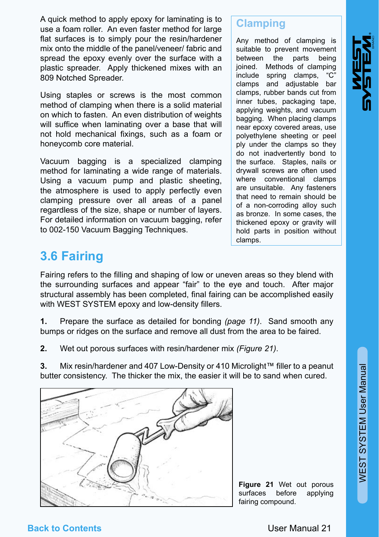A quick method to apply epoxy for laminating is to use a foam roller. An even faster method for large flat surfaces is to simply pour the resin/hardener mix onto the middle of the panel/veneer/ fabric and spread the epoxy evenly over the surface with a plastic spreader. Apply thickened mixes with an 809 Notched Spreader.

Using staples or screws is the most common method of clamping when there is a solid material on which to fasten. An even distribution of weights will suffice when laminating over a base that will not hold mechanical fixings, such as a foam or honeycomb core material.

Vacuum bagging is a specialized clamping method for laminating a wide range of materials. Using a vacuum pump and plastic sheeting, the atmosphere is used to apply perfectly even clamping pressure over all areas of a panel regardless of the size, shape or number of layers. For detailed information on vacuum bagging, refer to 002-150 Vacuum Bagging Techniques.

## **Clamping**

Any method of clamping is suitable to prevent movement between the parts being ioined. Methods of clamping include spring clamps, "C" clamps and adjustable bar clamps, rubber bands cut from inner tubes, packaging tape, applying weights, and vacuum bagging. When placing clamps near epoxy covered areas, use polyethylene sheeting or peel ply under the clamps so they do not inadvertently bond to the surface. Staples, nails or drywall screws are often used where conventional clamps are unsuitable. Any fasteners that need to remain should be of a non-corroding alloy such as bronze. In some cases, the thickened epoxy or gravity will hold parts in position without clamps.

# **3.6 Fairing**

Fairing refers to the filling and shaping of low or uneven areas so they blend with the surrounding surfaces and appear "fair" to the eye and touch. After major structural assembly has been completed, final fairing can be accomplished easily with WEST SYSTEM epoxy and low-density fillers.

**1.** Prepare the surface as detailed for bonding *(page 11)*. Sand smooth any bumps or ridges on the surface and remove all dust from the area to be faired.

**2.** Wet out porous surfaces with resin/hardener mix *(Figure 21)*.

**3.** Mix resin/hardener and 407 Low-Density or 410 Microlight™ filler to a peanut butter consistency. The thicker the mix, the easier it will be to sand when cured.



**Figure 21** Wet out porous surfaces before applying fairing compound.

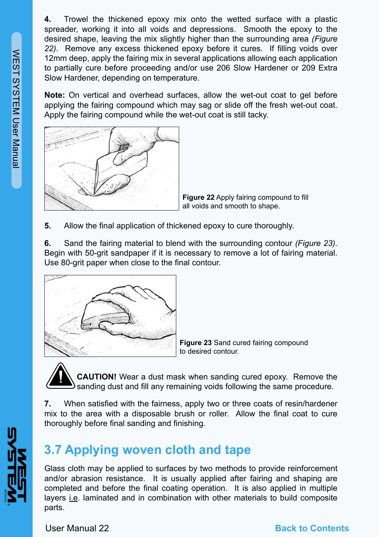**4.** Trowel the thickened epoxy mix onto the wetted surface with a plastic spreader, working it into all voids and depressions. Smooth the epoxy to the desired shape, leaving the mix slightly higher than the surrounding area *(Figure 22)*. Remove any excess thickened epoxy before it cures. If filling voids over 12mm deep, apply the fairing mix in several applications allowing each application to partially cure before proceeding and/or use 206 Slow Hardener or 209 Extra Slow Hardener, depending on temperature.

**Note:** On vertical and overhead surfaces, allow the wet-out coat to gel before applying the fairing compound which may sag or slide off the fresh wet-out coat. Apply the fairing compound while the wet-out coat is still tacky.



**Figure 22** Apply fairing compound to fill all voids and smooth to shape.

**5.** Allow the final application of thickened epoxy to cure thoroughly.

**6.** Sand the fairing material to blend with the surrounding contour *(Figure 23)*. Begin with 50-grit sandpaper if it is necessary to remove a lot of fairing material. Use 80-grit paper when close to the final contour.



**Figure 23** Sand cured fairing compound to desired contour.

**CAUTION!** Wear a dust mask when sanding cured epoxy. Remove the sanding dust and fill any remaining voids following the same procedure.

**7.** When satisfied with the fairness, apply two or three coats of resin/hardener mix to the area with a disposable brush or roller. Allow the final coat to cure thoroughly before final sanding and finishing.

# **3.7 Applying woven cloth and tape**

Glass cloth may be applied to surfaces by two methods to provide reinforcement and/or abrasion resistance. It is usually applied after fairing and shaping are completed and before the final coating operation. It is also applied in multiple layers i.e. laminated and in combination with other materials to build composite parts.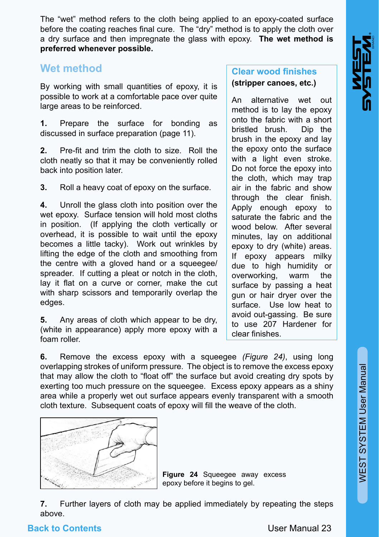The "wet" method refers to the cloth being applied to an epoxy-coated surface before the coating reaches final cure. The "dry" method is to apply the cloth over a dry surface and then impregnate the glass with epoxy. **The wet method is preferred whenever possible.**

## **Wet method**

By working with small quantities of epoxy, it is possible to work at a comfortable pace over quite large areas to be reinforced.

**1.** Prepare the surface for bonding as discussed in surface preparation (page 11).

**2.** Pre-fit and trim the cloth to size. Roll the cloth neatly so that it may be conveniently rolled back into position later.

**3.** Roll a heavy coat of epoxy on the surface.

**4.** Unroll the glass cloth into position over the wet epoxy. Surface tension will hold most cloths in position. (If applying the cloth vertically or overhead, it is possible to wait until the epoxy becomes a little tacky). Work out wrinkles by lifting the edge of the cloth and smoothing from the centre with a gloved hand or a squeegee/ spreader. If cutting a pleat or notch in the cloth, lay it flat on a curve or corner, make the cut with sharp scissors and temporarily overlap the edges.

**5.** Any areas of cloth which appear to be dry, (white in appearance) apply more epoxy with a foam roller.

## **Clear wood finishes (stripper canoes, etc.)**

An alternative wet out method is to lay the epoxy onto the fabric with a short bristled brush. Dip the brush in the epoxy and lay the epoxy onto the surface with a light even stroke. Do not force the epoxy into the cloth, which may trap air in the fabric and show through the clear finish. Apply enough epoxy to saturate the fabric and the wood below. After several minutes, lay on additional epoxy to dry (white) areas. If epoxy appears milky due to high humidity or overworking, warm the surface by passing a heat gun or hair dryer over the surface. Use low heat to avoid out-gassing. Be sure to use 207 Hardener for clear finishes.

**6.** Remove the excess epoxy with a squeegee *(Figure 24)*, using long overlapping strokes of uniform pressure. The object is to remove the excess epoxy that may allow the cloth to "float off" the surface but avoid creating dry spots by exerting too much pressure on the squeegee. Excess epoxy appears as a shiny area while a properly wet out surface appears evenly transparent with a smooth cloth texture. Subsequent coats of epoxy will fill the weave of the cloth.



**Figure 24** Squeegee away excess epoxy before it begins to gel.

**7.** Further layers of cloth may be applied immediately by repeating the steps above.

#### **Back to Contents**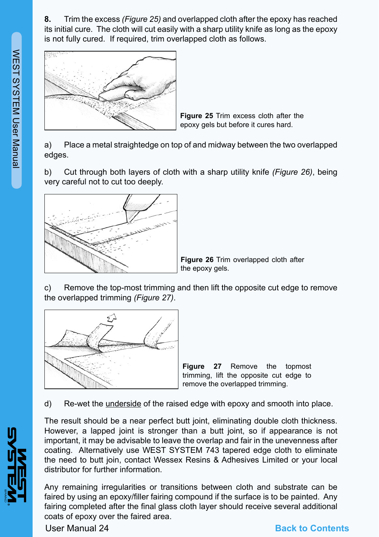

**Figure 25** Trim excess cloth after the epoxy gels but before it cures hard.

a) Place a metal straightedge on top of and midway between the two overlapped edges.

b) Cut through both layers of cloth with a sharp utility knife *(Figure 26)*, being very careful not to cut too deeply.



**Figure 26** Trim overlapped cloth after the epoxy gels.

c) Remove the top-most trimming and then lift the opposite cut edge to remove the overlapped trimming *(Figure 27)*.



**Figure 27** Remove the topmost trimming, lift the opposite cut edge to remove the overlapped trimming.

d) Re-wet the underside of the raised edge with epoxy and smooth into place.

The result should be a near perfect butt joint, eliminating double cloth thickness. However, a lapped joint is stronger than a butt joint, so if appearance is not important, it may be advisable to leave the overlap and fair in the unevenness after coating. Alternatively use WEST SYSTEM 743 tapered edge cloth to eliminate the need to butt join, contact Wessex Resins & Adhesives Limited or your local distributor for further information.

Any remaining irregularities or transitions between cloth and substrate can be faired by using an epoxy/filler fairing compound if the surface is to be painted. Any fairing completed after the final glass cloth layer should receive several additional coats of epoxy over the faired area.

User Manual 24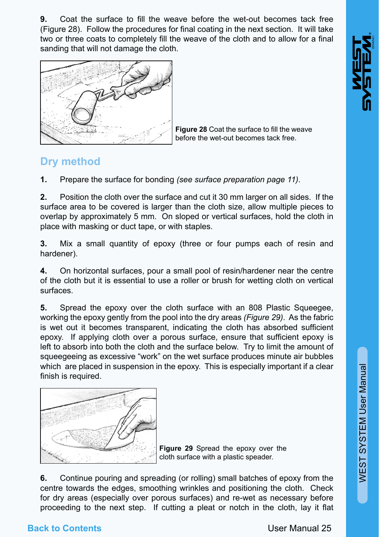**9.** Coat the surface to fill the weave before the wet-out becomes tack free (Figure 28). Follow the procedures for final coating in the next section. It will take two or three coats to completely fill the weave of the cloth and to allow for a final sanding that will not damage the cloth.



**Figure 28** Coat the surface to fill the weave before the wet-out becomes tack free.

## **Dry method**

**1.** Prepare the surface for bonding *(see surface preparation page 11)*.

**2.** Position the cloth over the surface and cut it 30 mm larger on all sides. If the surface area to be covered is larger than the cloth size, allow multiple pieces to overlap by approximately 5 mm. On sloped or vertical surfaces, hold the cloth in place with masking or duct tape, or with staples.

**3.** Mix a small quantity of epoxy (three or four pumps each of resin and hardener).

**4.** On horizontal surfaces, pour a small pool of resin/hardener near the centre of the cloth but it is essential to use a roller or brush for wetting cloth on vertical surfaces.

**5.** Spread the epoxy over the cloth surface with an 808 Plastic Squeegee. working the epoxy gently from the pool into the dry areas *(Figure 29)*. As the fabric is wet out it becomes transparent, indicating the cloth has absorbed sufficient epoxy. If applying cloth over a porous surface, ensure that sufficient epoxy is left to absorb into both the cloth and the surface below. Try to limit the amount of squeegeeing as excessive "work" on the wet surface produces minute air bubbles which are placed in suspension in the epoxy. This is especially important if a clear finish is required.



**Figure 29** Spread the epoxy over the cloth surface with a plastic speader.

**6.** Continue pouring and spreading (or rolling) small batches of epoxy from the centre towards the edges, smoothing wrinkles and positioning the cloth. Check for dry areas (especially over porous surfaces) and re-wet as necessary before proceeding to the next step. If cutting a pleat or notch in the cloth, lay it flat

## **Back to Contents**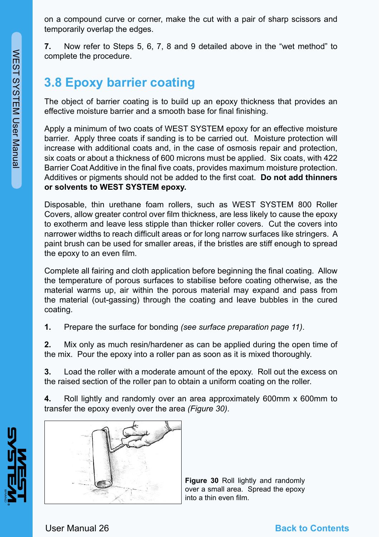on a compound curve or corner, make the cut with a pair of sharp scissors and temporarily overlap the edges.

**7.** Now refer to Steps 5, 6, 7, 8 and 9 detailed above in the "wet method" to complete the procedure.

# **3.8 Epoxy barrier coating**

The object of barrier coating is to build up an epoxy thickness that provides an effective moisture barrier and a smooth base for final finishing.

Apply a minimum of two coats of WEST SYSTEM epoxy for an effective moisture barrier. Apply three coats if sanding is to be carried out. Moisture protection will increase with additional coats and, in the case of osmosis repair and protection, six coats or about a thickness of 600 microns must be applied. Six coats, with 422 Barrier Coat Additive in the final five coats, provides maximum moisture protection. Additives or pigments should not be added to the first coat. **Do not add thinners or solvents to WEST SYSTEM epoxy.**

Disposable, thin urethane foam rollers, such as WEST SYSTEM 800 Roller Covers, allow greater control over film thickness, are less likely to cause the epoxy to exotherm and leave less stipple than thicker roller covers. Cut the covers into narrower widths to reach difficult areas or for long narrow surfaces like stringers. A paint brush can be used for smaller areas, if the bristles are stiff enough to spread the epoxy to an even film.

Complete all fairing and cloth application before beginning the final coating. Allow the temperature of porous surfaces to stabilise before coating otherwise, as the material warms up, air within the porous material may expand and pass from the material (out-gassing) through the coating and leave bubbles in the cured coating.

**1.** Prepare the surface for bonding *(see surface preparation page 11)*.

**2.** Mix only as much resin/hardener as can be applied during the open time of the mix. Pour the epoxy into a roller pan as soon as it is mixed thoroughly.

**3.** Load the roller with a moderate amount of the epoxy. Roll out the excess on the raised section of the roller pan to obtain a uniform coating on the roller.

**4.** Roll lightly and randomly over an area approximately 600mm x 600mm to transfer the epoxy evenly over the area *(Figure 30)*.



**Figure 30** Roll lightly and randomly over a small area. Spread the epoxy into a thin even film.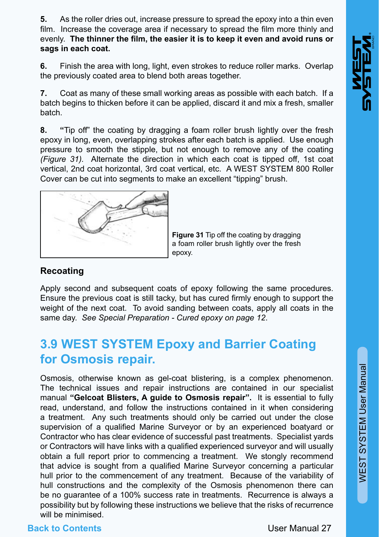**5.** As the roller dries out, increase pressure to spread the epoxy into a thin even film. Increase the coverage area if necessary to spread the film more thinly and evenly. **The thinner the film, the easier it is to keep it even and avoid runs or sags in each coat.**

**6.** Finish the area with long, light, even strokes to reduce roller marks. Overlap the previously coated area to blend both areas together.

**7.** Coat as many of these small working areas as possible with each batch. If a batch begins to thicken before it can be applied, discard it and mix a fresh, smaller batch.

**8. "**Tip off" the coating by dragging a foam roller brush lightly over the fresh epoxy in long, even, overlapping strokes after each batch is applied. Use enough pressure to smooth the stipple, but not enough to remove any of the coating *(Figure 31).* Alternate the direction in which each coat is tipped off, 1st coat vertical, 2nd coat horizontal, 3rd coat vertical, etc. A WEST SYSTEM 800 Roller Cover can be cut into segments to make an excellent "tipping" brush.



**Figure 31** Tip off the coating by dragging a foam roller brush lightly over the fresh epoxy.

#### **Recoating**

Apply second and subsequent coats of epoxy following the same procedures. Ensure the previous coat is still tacky, but has cured firmly enough to support the weight of the next coat. To avoid sanding between coats, apply all coats in the same day. *See Special Preparation - Cured epoxy on page 12*.

# **3.9 WEST SYSTEM Epoxy and Barrier Coating for Osmosis repair.**

Osmosis, otherwise known as gel-coat blistering, is a complex phenomenon. The technical issues and repair instructions are contained in our specialist manual **"Gelcoat Blisters, A guide to Osmosis repair".** It is essential to fully read, understand, and follow the instructions contained in it when considering a treatment. Any such treatments should only be carried out under the close supervision of a qualified Marine Surveyor or by an experienced boatyard or Contractor who has clear evidence of successful past treatments. Specialist yards or Contractors will have links with a qualified experienced surveyor and will usually obtain a full report prior to commencing a treatment. We stongly recommend that advice is sought from a qualified Marine Surveyor concerning a particular hull prior to the commencement of any treatment. Because of the variability of hull constructions and the complexity of the Osmosis phenomenon there can be no guarantee of a 100% success rate in treatments. Recurrence is always a possibility but by following these instructions we believe that the risks of recurrence will be minimised.

## **Back to Contents**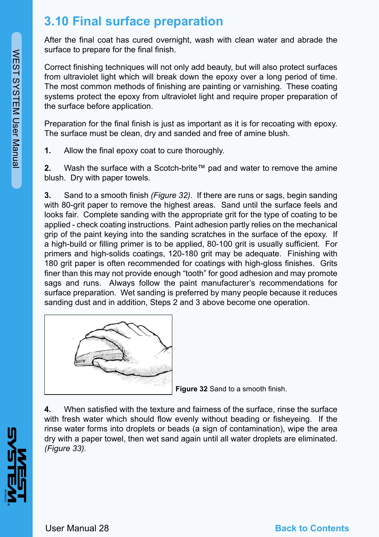# **3.10 Final surface preparation**

After the final coat has cured overnight, wash with clean water and abrade the surface to prepare for the final finish.

Correct finishing techniques will not only add beauty, but will also protect surfaces from ultraviolet light which will break down the epoxy over a long period of time. The most common methods of finishing are painting or varnishing. These coating systems protect the epoxy from ultraviolet light and require proper preparation of the surface before application.

Preparation for the final finish is just as important as it is for recoating with epoxy. The surface must be clean, dry and sanded and free of amine blush.

**1.** Allow the final epoxy coat to cure thoroughly.

**2.** Wash the surface with a Scotch-brite™ pad and water to remove the amine blush. Dry with paper towels.

**3.** Sand to a smooth finish *(Figure 32)*. If there are runs or sags, begin sanding with 80-grit paper to remove the highest areas. Sand until the surface feels and looks fair. Complete sanding with the appropriate grit for the type of coating to be applied - check coating instructions. Paint adhesion partly relies on the mechanical grip of the paint keying into the sanding scratches in the surface of the epoxy. If a high-build or filling primer is to be applied, 80-100 grit is usually sufficient. For primers and high-solids coatings, 120-180 grit may be adequate. Finishing with 180 grit paper is often recommended for coatings with high-gloss finishes. Grits finer than this may not provide enough "tooth" for good adhesion and may promote sags and runs. Always follow the paint manufacturer's recommendations for surface preparation. Wet sanding is preferred by many people because it reduces sanding dust and in addition, Steps 2 and 3 above become one operation.



**Figure 32** Sand to a smooth finish.

**4.** When satisfied with the texture and fairness of the surface, rinse the surface with fresh water which should flow evenly without beading or fisheyeing. If the rinse water forms into droplets or beads (a sign of contamination), wipe the area dry with a paper towel, then wet sand again until all water droplets are eliminated. *(Figure 33).*

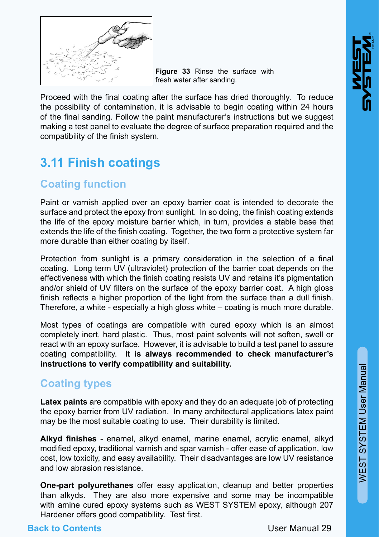

**Figure 33** Rinse the surface with fresh water after sanding.

Proceed with the final coating after the surface has dried thoroughly. To reduce the possibility of contamination, it is advisable to begin coating within 24 hours of the final sanding. Follow the paint manufacturer's instructions but we suggest making a test panel to evaluate the degree of surface preparation required and the compatibility of the finish system.

# **3.11 Finish coatings**

## **Coating function**

Paint or varnish applied over an epoxy barrier coat is intended to decorate the surface and protect the epoxy from sunlight. In so doing, the finish coating extends the life of the epoxy moisture barrier which, in turn, provides a stable base that extends the life of the finish coating. Together, the two form a protective system far more durable than either coating by itself.

Protection from sunlight is a primary consideration in the selection of a final coating. Long term UV (ultraviolet) protection of the barrier coat depends on the effectiveness with which the finish coating resists UV and retains it's pigmentation and/or shield of UV filters on the surface of the epoxy barrier coat. A high gloss finish reflects a higher proportion of the light from the surface than a dull finish. Therefore, a white - especially a high gloss white – coating is much more durable.

Most types of coatings are compatible with cured epoxy which is an almost completely inert, hard plastic. Thus, most paint solvents will not soften, swell or react with an epoxy surface. However, it is advisable to build a test panel to assure coating compatibility. **It is always recommended to check manufacturer's instructions to verify compatibility and suitability.**

## **Coating types**

**Latex paints** are compatible with epoxy and they do an adequate job of protecting the epoxy barrier from UV radiation. In many architectural applications latex paint may be the most suitable coating to use. Their durability is limited.

**Alkyd finishes** - enamel, alkyd enamel, marine enamel, acrylic enamel, alkyd modified epoxy, traditional varnish and spar varnish - offer ease of application, low cost, low toxicity, and easy availability. Their disadvantages are low UV resistance and low abrasion resistance.

**One-part polyurethanes** offer easy application, cleanup and better properties than alkyds. They are also more expensive and some may be incompatible with amine cured epoxy systems such as WEST SYSTEM epoxy, although 207 Hardener offers good compatibility. Test first.

## **Back to Contents**